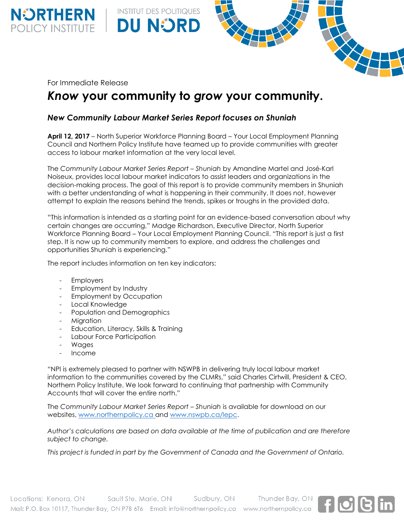For Immediate Release

**NÜRTHERN**<br>POLICY INSTITUTE

# *Know* **your community to** *grow* **your community.**

# *New Community Labour Market Series Report focuses on Shuniah*

**INSTITUT DES POLITIQUES** 

**DU NORD** 

**April 12, 2017** – North Superior Workforce Planning Board – Your Local Employment Planning Council and Northern Policy Institute have teamed up to provide communities with greater access to labour market information at the very local level.

The *Community Labour Market Series Report – Shuniah* by Amandine Martel and José-Karl Noiseux, provides local labour market indicators to assist leaders and organizations in the decision-making process. The goal of this report is to provide community members in Shuniah with a better understanding of what is happening in their community. It does not, however attempt to explain the reasons behind the trends, spikes or troughs in the provided data.

"This information is intended as a starting point for an evidence-based conversation about why certain changes are occurring," Madge Richardson, Executive Director, North Superior Workforce Planning Board – Your Local Employment Planning Council. "This report is just a first step. It is now up to community members to explore, and address the challenges and opportunities Shuniah is experiencing."

The report includes information on ten key indicators:

- Employers
- Employment by Industry
- Employment by Occupation
- Local Knowledge
- Population and Demographics
- Migration
- Education, Literacy, Skills & Training
- Labour Force Participation
- Wages
- Income

"NPI is extremely pleased to partner with NSWPB in delivering truly local labour market information to the communities covered by the CLMRs," said Charles Cirtwill, President & CEO, Northern Policy Institute. We look forward to continuing that partnership with Community Accounts that will cover the entire north."

The *Community Labour Market Series Report – Shuniah* is available for download on our websites, [www.northernpolicy.ca](http://www.northernpolicy.ca/) and [www.nswpb.ca/lepc.](http://www.nswpb.ca/lepc)

*Author's calculations are based on data available at the time of publication and are therefore subject to change.*

*This project is funded in part by the Government of Canada and the Government of Ontario.*